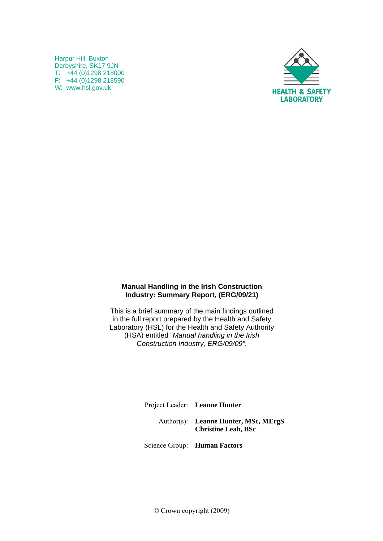Harpur Hill, Buxton Derbyshire, SK17 9JN T: +44 (0)1298 218000 F:  $+44(0)1298218590$ W: www.hsl.gov.uk



#### **Manual Handling in the Irish Construction Industry: Summary Report, (ERG/09/21)**

This is a brief summary of the main findings outlined in the full report prepared by the Health and Safety Laboratory (HSL) for the Health and Safety Authority (HSA) entitled "*Manual handling in the Irish Construction Industry, ERG/09/09"*.

> Project Leader: **Leanne Hunter**  Author(s): **Leanne Hunter, MSc, MErgS Christine Leah, BSc**

Science Group: **Human Factors** 

© Crown copyright (2009)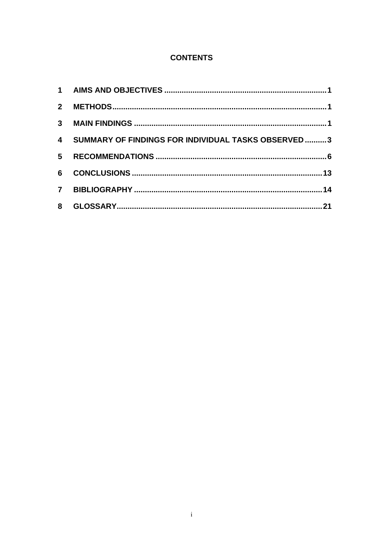# **CONTENTS**

| $2^{\circ}$    |                                                      |  |
|----------------|------------------------------------------------------|--|
|                |                                                      |  |
|                | 4 SUMMARY OF FINDINGS FOR INDIVIDUAL TASKS OBSERVED3 |  |
| 5 <sup>5</sup> |                                                      |  |
| 6              |                                                      |  |
| 7 <sup>7</sup> |                                                      |  |
| 8              |                                                      |  |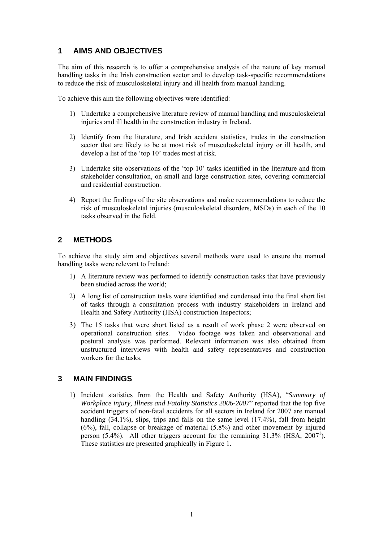## <span id="page-2-0"></span>**1 AIMS AND OBJECTIVES**

The aim of this research is to offer a comprehensive analysis of the nature of key manual handling tasks in the Irish construction sector and to develop task-specific recommendations to reduce the risk of musculoskeletal injury and ill health from manual handling.

To achieve this aim the following objectives were identified:

- 1) Undertake a comprehensive literature review of manual handling and musculoskeletal injuries and ill health in the construction industry in Ireland.
- 2) Identify from the literature, and Irish accident statistics, trades in the construction sector that are likely to be at most risk of musculoskeletal injury or ill health, and develop a list of the 'top 10' trades most at risk.
- 3) Undertake site observations of the 'top 10' tasks identified in the literature and from stakeholder consultation, on small and large construction sites, covering commercial and residential construction.
- 4) Report the findings of the site observations and make recommendations to reduce the risk of musculoskeletal injuries (musculoskeletal disorders, MSDs) in each of the 10 tasks observed in the field.

## **2 METHODS**

To achieve the study aim and objectives several methods were used to ensure the manual handling tasks were relevant to Ireland:

- 1) A literature review was performed to identify construction tasks that have previously been studied across the world;
- 2) A long list of construction tasks were identified and condensed into the final short list of tasks through a consultation process with industry stakeholders in Ireland and Health and Safety Authority (HSA) construction Inspectors;
- 3) The 15 tasks that were short listed as a result of work phase 2 were observed on operational construction sites. Video footage was taken and observational and postural analysis was performed. Relevant information was also obtained from unstructured interviews with health and safety representatives and construction workers for the tasks.

#### **3 MAIN FINDINGS**

1) Incident statistics from the Health and Safety Authority (HSA), "*Summary of Workplace injury, Illness and Fatality Statistics 2006-2007*" reported that the top five accident triggers of non-fatal accidents for all sectors in Ireland for 2007 are manual handling (34.1%), slips, trips and falls on the same level (17.4%), fall from height (6%), fall, collapse or breakage of material (5.8%) and other movement by injured person  $(5.4\%)$ . All other triggers account for the remaining  $31.3\%$  (HSA,  $2007^1$ ). These statistics are presented graphically in Figure 1.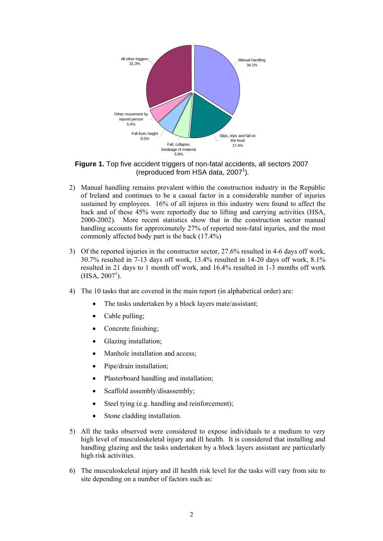

**Figure 1.** Top five accident triggers of non-fatal accidents, all sectors 2007 (reproduced from HSA data, 2007<sup>1</sup>).

- 2) Manual handling remains prevalent within the construction industry in the Republic of Ireland and continues to be a casual factor in a considerable number of injuries sustained by employees. 16% of all injures in this industry were found to affect the back and of these 45% were reportedly due to lifting and carrying activities (HSA, 2000-2002). More recent statistics show that in the construction sector manual handling accounts for approximately 27% of reported non-fatal injuries, and the most commonly affected body part is the back (17.4%)
- 3) Of the reported injuries in the constructor sector, 27.6% resulted in 4-6 days off work, 30.7% resulted in 7-13 days off work, 13.4% resulted in 14-20 days off work, 8.1% resulted in 21 days to 1 month off work, and 16.4% resulted in 1-3 months off work  $(HSA, 2007<sup>1</sup>)$ .
- 4) The 10 tasks that are covered in the main report (in alphabetical order) are:
	- The tasks undertaken by a block layers mate/assistant;
	- Cable pulling;
	- Concrete finishing;
	- Glazing installation;
	- Manhole installation and access;
	- Pipe/drain installation;
	- Plasterboard handling and installation;
	- Scaffold assembly/disassembly:
	- Steel tying (e.g. handling and reinforcement);
	- Stone cladding installation.
- 5) All the tasks observed were considered to expose individuals to a medium to very high level of musculoskeletal injury and ill health. It is considered that installing and handling glazing and the tasks undertaken by a block layers assistant are particularly high risk activities.
- 6) The musculoskeletal injury and ill health risk level for the tasks will vary from site to site depending on a number of factors such as: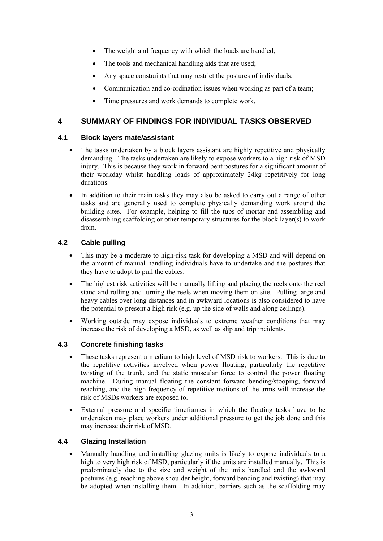- <span id="page-4-0"></span>The weight and frequency with which the loads are handled;
- The tools and mechanical handling aids that are used;
- Any space constraints that may restrict the postures of individuals;
- Communication and co-ordination issues when working as part of a team;
- Time pressures and work demands to complete work.

## **4 SUMMARY OF FINDINGS FOR INDIVIDUAL TASKS OBSERVED**

#### **4.1 Block layers mate/assistant**

- The tasks undertaken by a block layers assistant are highly repetitive and physically demanding. The tasks undertaken are likely to expose workers to a high risk of MSD injury. This is because they work in forward bent postures for a significant amount of their workday whilst handling loads of approximately 24kg repetitively for long durations.
- In addition to their main tasks they may also be asked to carry out a range of other tasks and are generally used to complete physically demanding work around the building sites. For example, helping to fill the tubs of mortar and assembling and disassembling scaffolding or other temporary structures for the block layer(s) to work from.

### **4.2 Cable pulling**

- This may be a moderate to high-risk task for developing a MSD and will depend on the amount of manual handling individuals have to undertake and the postures that they have to adopt to pull the cables.
- The highest risk activities will be manually lifting and placing the reels onto the reel stand and rolling and turning the reels when moving them on site. Pulling large and heavy cables over long distances and in awkward locations is also considered to have the potential to present a high risk (e.g. up the side of walls and along ceilings).
- Working outside may expose individuals to extreme weather conditions that may increase the risk of developing a MSD, as well as slip and trip incidents.

#### **4.3 Concrete finishing tasks**

- These tasks represent a medium to high level of MSD risk to workers. This is due to the repetitive activities involved when power floating, particularly the repetitive twisting of the trunk, and the static muscular force to control the power floating machine. During manual floating the constant forward bending/stooping, forward reaching, and the high frequency of repetitive motions of the arms will increase the risk of MSDs workers are exposed to.
- External pressure and specific timeframes in which the floating tasks have to be undertaken may place workers under additional pressure to get the job done and this may increase their risk of MSD.

#### **4.4 Glazing Installation**

• Manually handling and installing glazing units is likely to expose individuals to a high to very high risk of MSD, particularly if the units are installed manually. This is predominately due to the size and weight of the units handled and the awkward postures (e.g. reaching above shoulder height, forward bending and twisting) that may be adopted when installing them. In addition, barriers such as the scaffolding may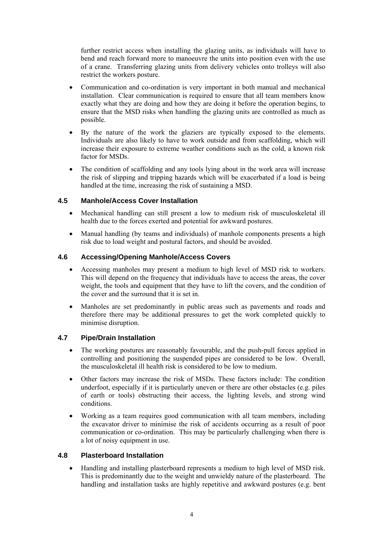further restrict access when installing the glazing units, as individuals will have to bend and reach forward more to manoeuvre the units into position even with the use of a crane. Transferring glazing units from delivery vehicles onto trolleys will also restrict the workers posture.

- Communication and co-ordination is very important in both manual and mechanical installation. Clear communication is required to ensure that all team members know exactly what they are doing and how they are doing it before the operation begins, to ensure that the MSD risks when handling the glazing units are controlled as much as possible.
- By the nature of the work the glaziers are typically exposed to the elements. Individuals are also likely to have to work outside and from scaffolding, which will increase their exposure to extreme weather conditions such as the cold, a known risk factor for MSDs.
- The condition of scaffolding and any tools lying about in the work area will increase the risk of slipping and tripping hazards which will be exacerbated if a load is being handled at the time, increasing the risk of sustaining a MSD.

### **4.5 Manhole/Access Cover Installation**

- Mechanical handling can still present a low to medium risk of musculoskeletal ill health due to the forces exerted and potential for awkward postures.
- Manual handling (by teams and individuals) of manhole components presents a high risk due to load weight and postural factors, and should be avoided.

#### **4.6 Accessing/Opening Manhole/Access Covers**

- Accessing manholes may present a medium to high level of MSD risk to workers. This will depend on the frequency that individuals have to access the areas, the cover weight, the tools and equipment that they have to lift the covers, and the condition of the cover and the surround that it is set in.
- Manholes are set predominantly in public areas such as pavements and roads and therefore there may be additional pressures to get the work completed quickly to minimise disruption.

#### **4.7 Pipe/Drain Installation**

- The working postures are reasonably favourable, and the push-pull forces applied in controlling and positioning the suspended pipes are considered to be low. Overall, the musculoskeletal ill health risk is considered to be low to medium.
- Other factors may increase the risk of MSDs. These factors include: The condition underfoot, especially if it is particularly uneven or there are other obstacles (e.g. piles of earth or tools) obstructing their access, the lighting levels, and strong wind conditions.
- Working as a team requires good communication with all team members, including the excavator driver to minimise the risk of accidents occurring as a result of poor communication or co-ordination. This may be particularly challenging when there is a lot of noisy equipment in use.

#### **4.8 Plasterboard Installation**

• Handling and installing plasterboard represents a medium to high level of MSD risk. This is predominantly due to the weight and unwieldy nature of the plasterboard. The handling and installation tasks are highly repetitive and awkward postures (e.g. bent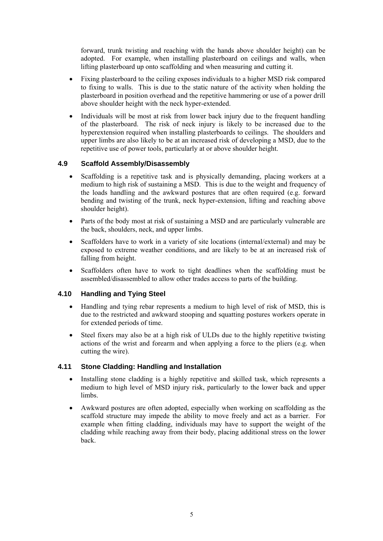forward, trunk twisting and reaching with the hands above shoulder height) can be adopted. For example, when installing plasterboard on ceilings and walls, when lifting plasterboard up onto scaffolding and when measuring and cutting it.

- Fixing plasterboard to the ceiling exposes individuals to a higher MSD risk compared to fixing to walls. This is due to the static nature of the activity when holding the plasterboard in position overhead and the repetitive hammering or use of a power drill above shoulder height with the neck hyper-extended.
- Individuals will be most at risk from lower back injury due to the frequent handling of the plasterboard. The risk of neck injury is likely to be increased due to the hyperextension required when installing plasterboards to ceilings. The shoulders and upper limbs are also likely to be at an increased risk of developing a MSD, due to the repetitive use of power tools, particularly at or above shoulder height.

#### **4.9 Scaffold Assembly/Disassembly**

- Scaffolding is a repetitive task and is physically demanding, placing workers at a medium to high risk of sustaining a MSD. This is due to the weight and frequency of the loads handling and the awkward postures that are often required (e.g. forward bending and twisting of the trunk, neck hyper-extension, lifting and reaching above shoulder height).
- Parts of the body most at risk of sustaining a MSD and are particularly vulnerable are the back, shoulders, neck, and upper limbs.
- Scaffolders have to work in a variety of site locations (internal/external) and may be exposed to extreme weather conditions, and are likely to be at an increased risk of falling from height.
- Scaffolders often have to work to tight deadlines when the scaffolding must be assembled/disassembled to allow other trades access to parts of the building.

#### **4.10 Handling and Tying Steel**

- Handling and tying rebar represents a medium to high level of risk of MSD, this is due to the restricted and awkward stooping and squatting postures workers operate in for extended periods of time.
- Steel fixers may also be at a high risk of ULDs due to the highly repetitive twisting actions of the wrist and forearm and when applying a force to the pliers (e.g. when cutting the wire).

#### **4.11 Stone Cladding: Handling and Installation**

- Installing stone cladding is a highly repetitive and skilled task, which represents a medium to high level of MSD injury risk, particularly to the lower back and upper limbs.
- Awkward postures are often adopted, especially when working on scaffolding as the scaffold structure may impede the ability to move freely and act as a barrier. For example when fitting cladding, individuals may have to support the weight of the cladding while reaching away from their body, placing additional stress on the lower back.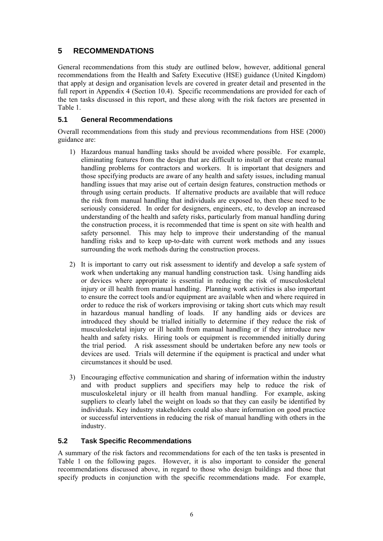## <span id="page-7-0"></span>**5 RECOMMENDATIONS**

General recommendations from this study are outlined below, however, additional general recommendations from the Health and Safety Executive (HSE) guidance (United Kingdom) that apply at design and organisation levels are covered in greater detail and presented in the full report in Appendix 4 (Section 10.4). Specific recommendations are provided for each of the ten tasks discussed in this report, and these along with the risk factors are presented in Table 1.

## **5.1 General Recommendations**

Overall recommendations from this study and previous recommendations from HSE (2000) guidance are:

- 1) Hazardous manual handling tasks should be avoided where possible. For example, eliminating features from the design that are difficult to install or that create manual handling problems for contractors and workers. It is important that designers and those specifying products are aware of any health and safety issues, including manual handling issues that may arise out of certain design features, construction methods or through using certain products. If alternative products are available that will reduce the risk from manual handling that individuals are exposed to, then these need to be seriously considered. In order for designers, engineers, etc, to develop an increased understanding of the health and safety risks, particularly from manual handling during the construction process, it is recommended that time is spent on site with health and safety personnel. This may help to improve their understanding of the manual handling risks and to keep up-to-date with current work methods and any issues surrounding the work methods during the construction process.
- 2) It is important to carry out risk assessment to identify and develop a safe system of work when undertaking any manual handling construction task. Using handling aids or devices where appropriate is essential in reducing the risk of musculoskeletal injury or ill health from manual handling. Planning work activities is also important to ensure the correct tools and/or equipment are available when and where required in order to reduce the risk of workers improvising or taking short cuts which may result in hazardous manual handling of loads. If any handling aids or devices are introduced they should be trialled initially to determine if they reduce the risk of musculoskeletal injury or ill health from manual handling or if they introduce new health and safety risks. Hiring tools or equipment is recommended initially during the trial period. A risk assessment should be undertaken before any new tools or devices are used. Trials will determine if the equipment is practical and under what circumstances it should be used.
- 3) Encouraging effective communication and sharing of information within the industry and with product suppliers and specifiers may help to reduce the risk of musculoskeletal injury or ill health from manual handling. For example, asking suppliers to clearly label the weight on loads so that they can easily be identified by individuals. Key industry stakeholders could also share information on good practice or successful interventions in reducing the risk of manual handling with others in the industry.

#### **5.2 Task Specific Recommendations**

A summary of the risk factors and recommendations for each of the ten tasks is presented in Table 1 on the following pages. However, it is also important to consider the general recommendations discussed above, in regard to those who design buildings and those that specify products in conjunction with the specific recommendations made. For example,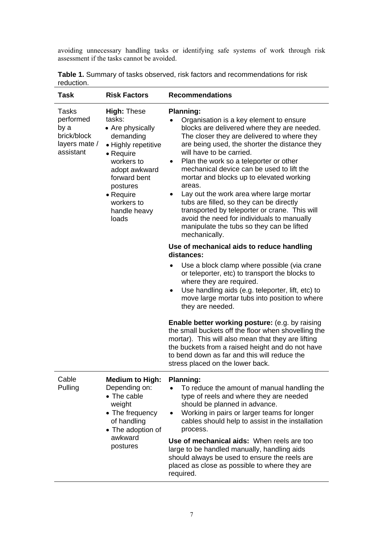avoiding unnecessary handling tasks or identifying safe systems of work through risk assessment if the tasks cannot be avoided.

| <b>Task</b>                                                             | <b>Risk Factors</b>                                                                                                                                                                                              | <b>Recommendations</b>                                                                                                                                                                                                                                                                                                                                                                                                                                                                                                                                                                                                                                          |
|-------------------------------------------------------------------------|------------------------------------------------------------------------------------------------------------------------------------------------------------------------------------------------------------------|-----------------------------------------------------------------------------------------------------------------------------------------------------------------------------------------------------------------------------------------------------------------------------------------------------------------------------------------------------------------------------------------------------------------------------------------------------------------------------------------------------------------------------------------------------------------------------------------------------------------------------------------------------------------|
| Tasks<br>performed<br>by a<br>brick/block<br>layers mate /<br>assistant | <b>High: These</b><br>tasks:<br>• Are physically<br>demanding<br>• Highly repetitive<br>• Require<br>workers to<br>adopt awkward<br>forward bent<br>postures<br>• Require<br>workers to<br>handle heavy<br>loads | <b>Planning:</b><br>Organisation is a key element to ensure<br>$\bullet$<br>blocks are delivered where they are needed.<br>The closer they are delivered to where they<br>are being used, the shorter the distance they<br>will have to be carried.<br>Plan the work so a teleporter or other<br>٠<br>mechanical device can be used to lift the<br>mortar and blocks up to elevated working<br>areas.<br>Lay out the work area where large mortar<br>٠<br>tubs are filled, so they can be directly<br>transported by teleporter or crane. This will<br>avoid the need for individuals to manually<br>manipulate the tubs so they can be lifted<br>mechanically. |
|                                                                         |                                                                                                                                                                                                                  | Use of mechanical aids to reduce handling<br>distances:                                                                                                                                                                                                                                                                                                                                                                                                                                                                                                                                                                                                         |
|                                                                         |                                                                                                                                                                                                                  | Use a block clamp where possible (via crane<br>$\bullet$<br>or teleporter, etc) to transport the blocks to<br>where they are required.<br>Use handling aids (e.g. teleporter, lift, etc) to<br>٠<br>move large mortar tubs into position to where<br>they are needed.                                                                                                                                                                                                                                                                                                                                                                                           |
|                                                                         |                                                                                                                                                                                                                  | <b>Enable better working posture:</b> (e.g. by raising<br>the small buckets off the floor when shovelling the<br>mortar). This will also mean that they are lifting<br>the buckets from a raised height and do not have<br>to bend down as far and this will reduce the<br>stress placed on the lower back.                                                                                                                                                                                                                                                                                                                                                     |
| Cable<br>Pulling                                                        | <b>Medium to High:</b><br>Depending on:<br>• The cable<br>weight<br>• The frequency<br>of handling<br>• The adoption of<br>awkward<br>postures                                                                   | <b>Planning:</b><br>To reduce the amount of manual handling the<br>type of reels and where they are needed<br>should be planned in advance.<br>Working in pairs or larger teams for longer<br>cables should help to assist in the installation<br>process.<br>Use of mechanical aids: When reels are too<br>large to be handled manually, handling aids<br>should always be used to ensure the reels are<br>placed as close as possible to where they are<br>required.                                                                                                                                                                                          |

|            | <b>Table 1.</b> Summary of tasks observed, risk factors and recommendations for risk |
|------------|--------------------------------------------------------------------------------------|
| reduction. |                                                                                      |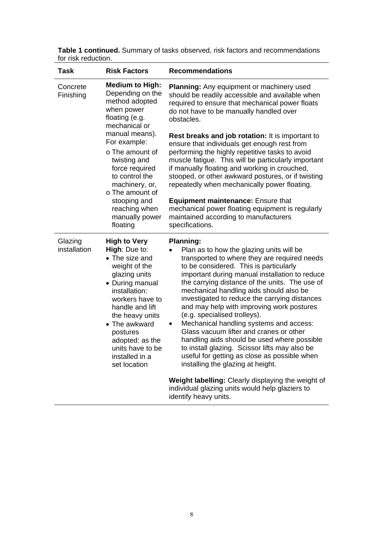| <b>Task</b>             | <b>Risk Factors</b>                                                                                                                                                                                                                                                                                | <b>Recommendations</b>                                                                                                                                                                                                                                                                                                                                                                                                                                                                                                                                                                                                                                                                                              |
|-------------------------|----------------------------------------------------------------------------------------------------------------------------------------------------------------------------------------------------------------------------------------------------------------------------------------------------|---------------------------------------------------------------------------------------------------------------------------------------------------------------------------------------------------------------------------------------------------------------------------------------------------------------------------------------------------------------------------------------------------------------------------------------------------------------------------------------------------------------------------------------------------------------------------------------------------------------------------------------------------------------------------------------------------------------------|
| Concrete<br>Finishing   | <b>Medium to High:</b><br>Depending on the<br>method adopted<br>when power<br>floating (e.g.<br>mechanical or                                                                                                                                                                                      | <b>Planning:</b> Any equipment or machinery used<br>should be readily accessible and available when<br>required to ensure that mechanical power floats<br>do not have to be manually handled over<br>obstacles.                                                                                                                                                                                                                                                                                                                                                                                                                                                                                                     |
|                         | manual means).<br>For example:<br>o The amount of<br>twisting and<br>force required<br>to control the<br>machinery, or,<br>o The amount of                                                                                                                                                         | <b>Rest breaks and job rotation:</b> It is important to<br>ensure that individuals get enough rest from<br>performing the highly repetitive tasks to avoid<br>muscle fatigue. This will be particularly important<br>if manually floating and working in crouched,<br>stooped, or other awkward postures, or if twisting<br>repeatedly when mechanically power floating.                                                                                                                                                                                                                                                                                                                                            |
|                         | stooping and<br>reaching when<br>manually power<br>floating                                                                                                                                                                                                                                        | <b>Equipment maintenance: Ensure that</b><br>mechanical power floating equipment is regularly<br>maintained according to manufacturers<br>specifications.                                                                                                                                                                                                                                                                                                                                                                                                                                                                                                                                                           |
| Glazing<br>installation | <b>High to Very</b><br><b>High: Due to:</b><br>• The size and<br>weight of the<br>glazing units<br>• During manual<br>installation:<br>workers have to<br>handle and lift<br>the heavy units<br>• The awkward<br>postures<br>adopted: as the<br>units have to be<br>installed in a<br>set location | <b>Planning:</b><br>Plan as to how the glazing units will be<br>transported to where they are required needs<br>to be considered. This is particularly<br>important during manual installation to reduce<br>the carrying distance of the units. The use of<br>mechanical handling aids should also be<br>investigated to reduce the carrying distances<br>and may help with improving work postures<br>(e.g. specialised trolleys).<br>Mechanical handling systems and access:<br>٠<br>Glass vacuum lifter and cranes or other<br>handling aids should be used where possible<br>to install glazing. Scissor lifts may also be<br>useful for getting as close as possible when<br>installing the glazing at height. |
|                         |                                                                                                                                                                                                                                                                                                    | Weight labelling: Clearly displaying the weight of<br>individual glazing units would help glaziers to<br>identify heavy units.                                                                                                                                                                                                                                                                                                                                                                                                                                                                                                                                                                                      |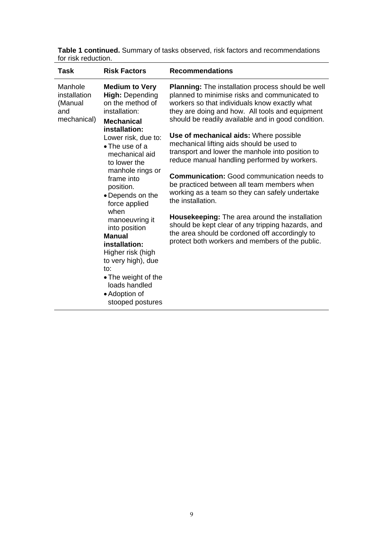| Task                                                     | <b>Risk Factors</b>                                                                                                                                                                                                                                                                                                                                                                                                                                                                                           | <b>Recommendations</b>                                                                                                                                                                                                                                                                                                                                                                                                                                                                                                                                                                                                                                                                                                                                                                                                                               |
|----------------------------------------------------------|---------------------------------------------------------------------------------------------------------------------------------------------------------------------------------------------------------------------------------------------------------------------------------------------------------------------------------------------------------------------------------------------------------------------------------------------------------------------------------------------------------------|------------------------------------------------------------------------------------------------------------------------------------------------------------------------------------------------------------------------------------------------------------------------------------------------------------------------------------------------------------------------------------------------------------------------------------------------------------------------------------------------------------------------------------------------------------------------------------------------------------------------------------------------------------------------------------------------------------------------------------------------------------------------------------------------------------------------------------------------------|
| Manhole<br>installation<br>(Manual<br>and<br>mechanical) | <b>Medium to Very</b><br><b>High: Depending</b><br>on the method of<br>installation:<br><b>Mechanical</b><br>installation:<br>Lower risk, due to:<br>$\bullet$ The use of a<br>mechanical aid<br>to lower the<br>manhole rings or<br>frame into<br>position.<br>• Depends on the<br>force applied<br>when<br>manoeuvring it<br>into position<br><b>Manual</b><br>installation:<br>Higher risk (high<br>to very high), due<br>to:<br>• The weight of the<br>loads handled<br>• Adoption of<br>stooped postures | Planning: The installation process should be well<br>planned to minimise risks and communicated to<br>workers so that individuals know exactly what<br>they are doing and how. All tools and equipment<br>should be readily available and in good condition.<br>Use of mechanical aids: Where possible<br>mechanical lifting aids should be used to<br>transport and lower the manhole into position to<br>reduce manual handling performed by workers.<br><b>Communication:</b> Good communication needs to<br>be practiced between all team members when<br>working as a team so they can safely undertake<br>the installation.<br><b>Housekeeping:</b> The area around the installation<br>should be kept clear of any tripping hazards, and<br>the area should be cordoned off accordingly to<br>protect both workers and members of the public. |
|                                                          |                                                                                                                                                                                                                                                                                                                                                                                                                                                                                                               |                                                                                                                                                                                                                                                                                                                                                                                                                                                                                                                                                                                                                                                                                                                                                                                                                                                      |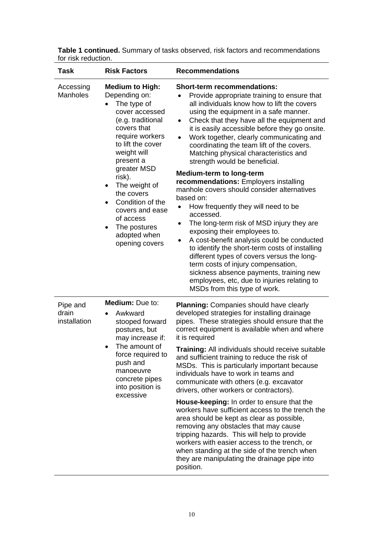| <b>Task</b>                       | <b>Risk Factors</b>                                                                                                                                                                                                                                                                                                                                                      | <b>Recommendations</b>                                                                                                                                                                                                                                                                                                                                                                                                                                                                                                                                                                                                                                                                                                                                                                                                                                                                                                                                                                                                                                                                  |
|-----------------------------------|--------------------------------------------------------------------------------------------------------------------------------------------------------------------------------------------------------------------------------------------------------------------------------------------------------------------------------------------------------------------------|-----------------------------------------------------------------------------------------------------------------------------------------------------------------------------------------------------------------------------------------------------------------------------------------------------------------------------------------------------------------------------------------------------------------------------------------------------------------------------------------------------------------------------------------------------------------------------------------------------------------------------------------------------------------------------------------------------------------------------------------------------------------------------------------------------------------------------------------------------------------------------------------------------------------------------------------------------------------------------------------------------------------------------------------------------------------------------------------|
| Accessing<br><b>Manholes</b>      | <b>Medium to High:</b><br>Depending on:<br>The type of<br>cover accessed<br>(e.g. traditional<br>covers that<br>require workers<br>to lift the cover<br>weight will<br>present a<br>greater MSD<br>risk).<br>The weight of<br>$\bullet$<br>the covers<br>Condition of the<br>covers and ease<br>of access<br>The postures<br>$\bullet$<br>adopted when<br>opening covers | <b>Short-term recommendations:</b><br>Provide appropriate training to ensure that<br>$\bullet$<br>all individuals know how to lift the covers<br>using the equipment in a safe manner.<br>Check that they have all the equipment and<br>$\bullet$<br>it is easily accessible before they go onsite.<br>Work together, clearly communicating and<br>$\bullet$<br>coordinating the team lift of the covers.<br>Matching physical characteristics and<br>strength would be beneficial.<br><b>Medium-term to long-term</b><br>recommendations: Employers installing<br>manhole covers should consider alternatives<br>based on:<br>How frequently they will need to be<br>accessed.<br>The long-term risk of MSD injury they are<br>$\bullet$<br>exposing their employees to.<br>A cost-benefit analysis could be conducted<br>to identify the short-term costs of installing<br>different types of covers versus the long-<br>term costs of injury compensation,<br>sickness absence payments, training new<br>employees, etc, due to injuries relating to<br>MSDs from this type of work. |
| Pipe and<br>drain<br>installation | Medium: Due to:<br>Awkward<br>stooped forward<br>postures, but<br>may increase if:<br>The amount of<br>$\bullet$<br>force required to<br>push and<br>manoeuvre<br>concrete pipes<br>into position is<br>excessive                                                                                                                                                        | <b>Planning: Companies should have clearly</b><br>developed strategies for installing drainage<br>pipes. These strategies should ensure that the<br>correct equipment is available when and where<br>it is required<br>Training: All individuals should receive suitable<br>and sufficient training to reduce the risk of<br>MSDs. This is particularly important because<br>individuals have to work in teams and<br>communicate with others (e.g. excavator<br>drivers, other workers or contractors).<br>House-keeping: In order to ensure that the<br>workers have sufficient access to the trench the<br>area should be kept as clear as possible,<br>removing any obstacles that may cause<br>tripping hazards. This will help to provide                                                                                                                                                                                                                                                                                                                                         |
|                                   |                                                                                                                                                                                                                                                                                                                                                                          | workers with easier access to the trench, or<br>when standing at the side of the trench when<br>they are manipulating the drainage pipe into<br>position.                                                                                                                                                                                                                                                                                                                                                                                                                                                                                                                                                                                                                                                                                                                                                                                                                                                                                                                               |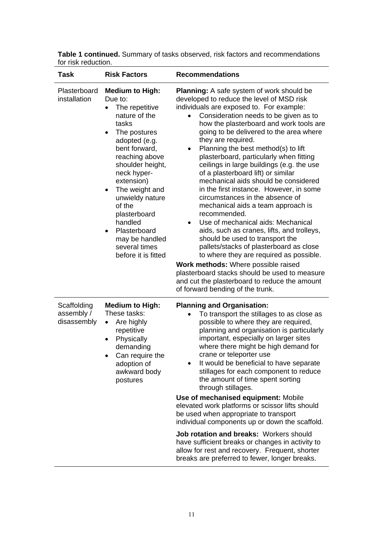| Task                                     | <b>Risk Factors</b>                                                                                                                                                                                                                                                                                                                                                 | <b>Recommendations</b>                                                                                                                                                                                                                                                                                                                                                                                                                                                                                                                                                                                                                                                                                                                                                                                                                                                                                                                                                                                                                         |
|------------------------------------------|---------------------------------------------------------------------------------------------------------------------------------------------------------------------------------------------------------------------------------------------------------------------------------------------------------------------------------------------------------------------|------------------------------------------------------------------------------------------------------------------------------------------------------------------------------------------------------------------------------------------------------------------------------------------------------------------------------------------------------------------------------------------------------------------------------------------------------------------------------------------------------------------------------------------------------------------------------------------------------------------------------------------------------------------------------------------------------------------------------------------------------------------------------------------------------------------------------------------------------------------------------------------------------------------------------------------------------------------------------------------------------------------------------------------------|
| Plasterboard<br>installation             | <b>Medium to High:</b><br>Due to:<br>The repetitive<br>nature of the<br>tasks<br>The postures<br>$\bullet$<br>adopted (e.g.<br>bent forward,<br>reaching above<br>shoulder height,<br>neck hyper-<br>extension)<br>The weight and<br>unwieldy nature<br>of the<br>plasterboard<br>handled<br>Plasterboard<br>may be handled<br>several times<br>before it is fitted | <b>Planning:</b> A safe system of work should be<br>developed to reduce the level of MSD risk<br>individuals are exposed to. For example:<br>Consideration needs to be given as to<br>how the plasterboard and work tools are<br>going to be delivered to the area where<br>they are required.<br>Planning the best method(s) to lift<br>plasterboard, particularly when fitting<br>ceilings in large buildings (e.g. the use<br>of a plasterboard lift) or similar<br>mechanical aids should be considered<br>in the first instance. However, in some<br>circumstances in the absence of<br>mechanical aids a team approach is<br>recommended.<br>Use of mechanical aids: Mechanical<br>٠<br>aids, such as cranes, lifts, and trolleys,<br>should be used to transport the<br>pallets/stacks of plasterboard as close<br>to where they are required as possible.<br>Work methods: Where possible raised<br>plasterboard stacks should be used to measure<br>and cut the plasterboard to reduce the amount<br>of forward bending of the trunk. |
| Scaffolding<br>assembly /<br>disassembly | <b>Medium to High:</b><br>These tasks:<br>Are highly<br>$\bullet$<br>repetitive<br>Physically<br>demanding<br>Can require the<br>adoption of<br>awkward body<br>postures                                                                                                                                                                                            | <b>Planning and Organisation:</b><br>To transport the stillages to as close as<br>possible to where they are required,<br>planning and organisation is particularly<br>important, especially on larger sites<br>where there might be high demand for<br>crane or teleporter use<br>It would be beneficial to have separate<br>stillages for each component to reduce<br>the amount of time spent sorting<br>through stillages.<br>Use of mechanised equipment: Mobile<br>elevated work platforms or scissor lifts should<br>be used when appropriate to transport<br>individual components up or down the scaffold.<br>Job rotation and breaks: Workers should<br>have sufficient breaks or changes in activity to<br>allow for rest and recovery. Frequent, shorter<br>breaks are preferred to fewer, longer breaks.                                                                                                                                                                                                                          |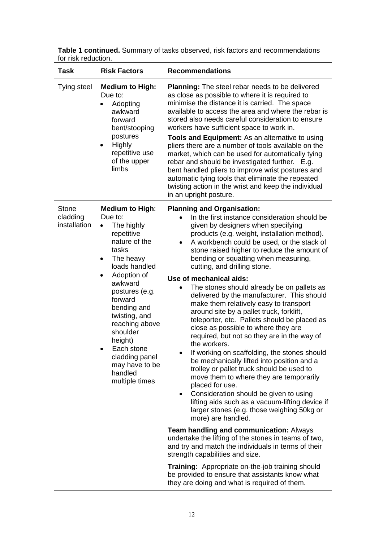| <b>Task</b>                              | <b>Risk Factors</b>                                                                                                                                                                                                                                                                                                                       | <b>Recommendations</b>                                                                                                                                                                                                                                                                                                                                                                                                                                                                                                                                                                                                                                                                                                                                                                                                                                                                                                                                                                                                                                                                                                                                                                                                                                                                                                                                                                                                                                                         |
|------------------------------------------|-------------------------------------------------------------------------------------------------------------------------------------------------------------------------------------------------------------------------------------------------------------------------------------------------------------------------------------------|--------------------------------------------------------------------------------------------------------------------------------------------------------------------------------------------------------------------------------------------------------------------------------------------------------------------------------------------------------------------------------------------------------------------------------------------------------------------------------------------------------------------------------------------------------------------------------------------------------------------------------------------------------------------------------------------------------------------------------------------------------------------------------------------------------------------------------------------------------------------------------------------------------------------------------------------------------------------------------------------------------------------------------------------------------------------------------------------------------------------------------------------------------------------------------------------------------------------------------------------------------------------------------------------------------------------------------------------------------------------------------------------------------------------------------------------------------------------------------|
| Tying steel                              | <b>Medium to High:</b><br>Due to:<br>Adopting<br>awkward<br>forward<br>bent/stooping<br>postures<br>Highly<br>repetitive use<br>of the upper<br>limbs                                                                                                                                                                                     | <b>Planning:</b> The steel rebar needs to be delivered<br>as close as possible to where it is required to<br>minimise the distance it is carried. The space<br>available to access the area and where the rebar is<br>stored also needs careful consideration to ensure<br>workers have sufficient space to work in.<br><b>Tools and Equipment:</b> As an alternative to using<br>pliers there are a number of tools available on the<br>market, which can be used for automatically tying<br>rebar and should be investigated further. E.g.<br>bent handled pliers to improve wrist postures and<br>automatic tying tools that eliminate the repeated<br>twisting action in the wrist and keep the individual<br>in an upright posture.                                                                                                                                                                                                                                                                                                                                                                                                                                                                                                                                                                                                                                                                                                                                       |
| <b>Stone</b><br>cladding<br>installation | <b>Medium to High:</b><br>Due to:<br>The highly<br>repetitive<br>nature of the<br>tasks<br>The heavy<br>٠<br>loads handled<br>Adoption of<br>awkward<br>postures (e.g.<br>forward<br>bending and<br>twisting, and<br>reaching above<br>shoulder<br>height)<br>Each stone<br>cladding panel<br>may have to be<br>handled<br>multiple times | <b>Planning and Organisation:</b><br>In the first instance consideration should be<br>given by designers when specifying<br>products (e.g. weight, installation method).<br>A workbench could be used, or the stack of<br>٠<br>stone raised higher to reduce the amount of<br>bending or squatting when measuring,<br>cutting, and drilling stone.<br>Use of mechanical aids:<br>The stones should already be on pallets as<br>delivered by the manufacturer. This should<br>make them relatively easy to transport<br>around site by a pallet truck, forklift,<br>teleporter, etc. Pallets should be placed as<br>close as possible to where they are<br>required, but not so they are in the way of<br>the workers.<br>If working on scaffolding, the stones should<br>be mechanically lifted into position and a<br>trolley or pallet truck should be used to<br>move them to where they are temporarily<br>placed for use.<br>Consideration should be given to using<br>$\bullet$<br>lifting aids such as a vacuum-lifting device if<br>larger stones (e.g. those weighing 50kg or<br>more) are handled.<br><b>Team handling and communication: Always</b><br>undertake the lifting of the stones in teams of two,<br>and try and match the individuals in terms of their<br>strength capabilities and size.<br><b>Training:</b> Appropriate on-the-job training should<br>be provided to ensure that assistants know what<br>they are doing and what is required of them. |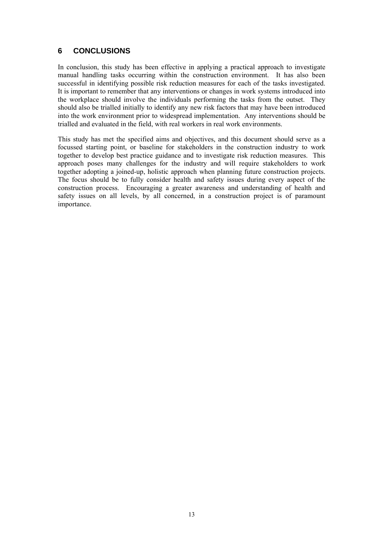## <span id="page-14-0"></span>**6 CONCLUSIONS**

In conclusion, this study has been effective in applying a practical approach to investigate manual handling tasks occurring within the construction environment. It has also been successful in identifying possible risk reduction measures for each of the tasks investigated. It is important to remember that any interventions or changes in work systems introduced into the workplace should involve the individuals performing the tasks from the outset. They should also be trialled initially to identify any new risk factors that may have been introduced into the work environment prior to widespread implementation. Any interventions should be trialled and evaluated in the field, with real workers in real work environments.

This study has met the specified aims and objectives, and this document should serve as a focussed starting point, or baseline for stakeholders in the construction industry to work together to develop best practice guidance and to investigate risk reduction measures. This approach poses many challenges for the industry and will require stakeholders to work together adopting a joined-up, holistic approach when planning future construction projects. The focus should be to fully consider health and safety issues during every aspect of the construction process. Encouraging a greater awareness and understanding of health and safety issues on all levels, by all concerned, in a construction project is of paramount importance.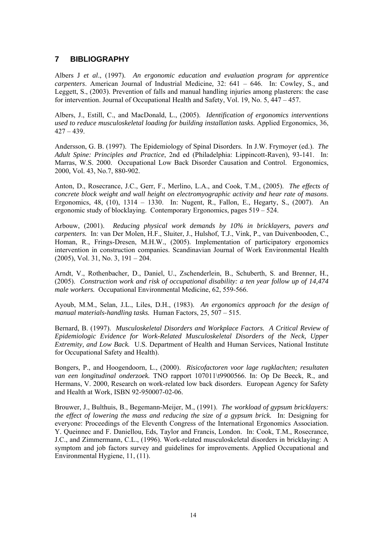## <span id="page-15-0"></span>**7 BIBLIOGRAPHY**

Albers J *et al*., (1997). *An ergonomic education and evaluation program for apprentice carpenters*. American Journal of Industrial Medicine, 32: 641 – 646. In: Cowley, S., and Leggett, S., (2003). Prevention of falls and manual handling injuries among plasterers: the case for intervention. Journal of Occupational Health and Safety, Vol. 19, No. 5, 447 – 457.

Albers, J., Estill, C., and MacDonald, L., (2005). *Identification of ergonomics interventions used to reduce musculoskeletal loading for building installation tasks.* Applied Ergonomics, 36,  $427 - 439$ .

Andersson, G. B. (1997). The Epidemiology of Spinal Disorders. In J.W. Frymoyer (ed.). *The Adult Spine: Principles and Practice*, 2nd ed (Philadelphia: Lippincott-Raven), 93-141. In: Marras, W.S. 2000. Occupational Low Back Disorder Causation and Control. Ergonomics, 2000, Vol. 43, No.7, 880-902.

Anton, D., Rosecrance, J.C., Gerr, F., Merlino, L.A., and Cook, T.M., (2005). *The effects of concrete block weight and wall height on electromyographic activity and hear rate of masons*. Ergonomics, 48, (10), 1314 – 1330. In: Nugent, R., Fallon, E., Hegarty, S., (2007). An ergonomic study of blocklaying. Contemporary Ergonomics, pages 519 – 524.

Arbouw, (2001). *Reducing physical work demands by 10% in bricklayers, pavers and carpenters.* In: van Der Molen, H.F., Sluiter, J., Hulshof, T.J., Vink, P., van Duivenbooden, C., Homan, R., Frings-Dresen, M.H.W., (2005). Implementation of participatory ergonomics intervention in construction companies. Scandinavian Journal of Work Environmental Health (2005), Vol. 31, No. 3, 191 – 204.

Arndt, V., Rothenbacher, D., Daniel, U., Zschenderlein, B., Schuberth, S. and Brenner, H., (2005). *Construction work and risk of occupational disability: a ten year follow up of 14,474 male workers.* Occupational Environmental Medicine, 62, 559-566.

Ayoub, M.M., Selan, J.L., Liles, D.H., (1983). *An ergonomics approach for the design of manual materials-handling tasks.* Human Factors, 25, 507 – 515.

Bernard, B. (1997). *Musculoskeletal Disorders and Workplace Factors. A Critical Review of Epidemiologic Evidence for Work-Related Musculoskeletal Disorders of the Neck, Upper Extremity, and Low Back.* U.S. Department of Health and Human Services, National Institute for Occupational Safety and Health).

Bongers, P., and Hoogendoorn, L., (2000). *Risicofactoren voor lage rugklachten; resultaten van een longitudinal onderzoek.* TNO rapport 107011\t9900566. In: Op De Beeck, R., and Hermans, V. 2000, Research on work-related low back disorders. European Agency for Safety and Health at Work, ISBN 92-950007-02-06.

Brouwer, J., Bulthuis, B., Begemann-Meijer, M., (1991). *The workload of gypsum bricklayers: the effect of lowering the mass and reducing the size of a gypsum brick.* In: Designing for everyone: Proceedings of the Eleventh Congress of the International Ergonomics Association. Y. Queinnec and F. Daniellou, Eds, Taylor and Francis, London. In: Cook, T.M., Rosecrance, J.C., and Zimmermann, C.L., (1996). Work-related musculoskeletal disorders in bricklaying: A symptom and job factors survey and guidelines for improvements. Applied Occupational and Environmental Hygiene, 11, (11).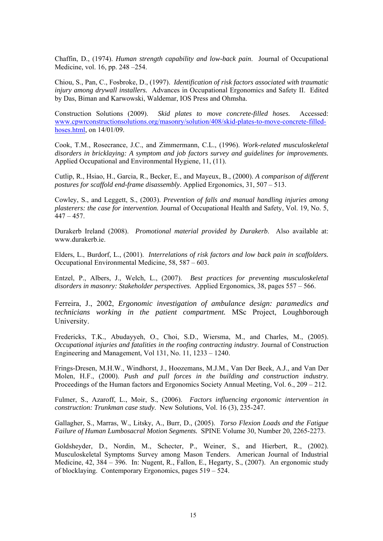Chaffin, D., (1974). *Human strength capability and low-back pain*. Journal of Occupational Medicine, vol. 16, pp. 248 –254.

Chiou, S., Pan, C., Fosbroke, D., (1997). *Identification of risk factors associated with traumatic injury among drywall installers.* Advances in Occupational Ergonomics and Safety II. Edited by Das, Biman and Karwowski, Waldemar, IOS Press and Ohmsha.

Construction Solutions (2009). *Skid plates to move concrete-filled hoses.* Accessed: [www.cpwrconstructionsolutions.org/masonry/solution/408/skid-plates-to-move-concrete-filled](http://www.cpwrconstructionsolutions.org/masonry/solution/408/skid-plates-to-move-concrete-filled-hoses.html)[hoses.html](http://www.cpwrconstructionsolutions.org/masonry/solution/408/skid-plates-to-move-concrete-filled-hoses.html), on 14/01/09.

Cook, T.M., Rosecrance, J.C., and Zimmermann, C.L., (1996). *Work-related musculoskeletal disorders in bricklaying: A symptom and job factors survey and guidelines for improvements.*  Applied Occupational and Environmental Hygiene, 11, (11).

Cutlip, R., Hsiao, H., Garcia, R., Becker, E., and Mayeux, B., (2000). *A comparison of different postures for scaffold end-frame disassembly*. Applied Ergonomics, 31, 507 – 513.

Cowley, S., and Leggett, S., (2003). *Prevention of falls and manual handling injuries among plasterers: the case for intervention.* Journal of Occupational Health and Safety, Vol. 19, No. 5,  $447 - 457$ .

Durakerb Ireland (2008). *Promotional material provided by Durakerb*. Also available at: [www.durakerb.ie](http://www.durakerb.ie/).

Elders, L., Burdorf, L., (2001). *Interrelations of risk factors and low back pain in scaffolders.*  Occupational Environmental Medicine, 58, 587 – 603.

Entzel, P., Albers, J., Welch, L., (2007). *Best practices for preventing musculoskeletal disorders in masonry: Stakeholder perspectives.* Applied Ergonomics, 38, pages 557 – 566.

Ferreira, J., 2002, *Ergonomic investigation of ambulance design: paramedics and technicians working in the patient compartment.* MSc Project, Loughborough University.

Fredericks, T.K., Abudayyeh, O., Choi, S.D., Wiersma, M., and Charles, M., (2005). *Occupational injuries and fatalities in the roofing contracting industry*. Journal of Construction Engineering and Management, Vol 131, No. 11, 1233 – 1240.

Frings-Dresen, M.H.W., Windhorst, J., Hoozemans, M.J.M., Van Der Beek, A.J., and Van Der Molen, H.F., (2000). *Push and pull forces in the building and construction industry.* Proceedings of the Human factors and Ergonomics Society Annual Meeting, Vol. 6., 209 – 212.

Fulmer, S., Azaroff, L., Moir, S., (2006). *Factors influencing ergonomic intervention in construction: Trunkman case study*. New Solutions, Vol. 16 (3), 235-247.

Gallagher, S., Marras, W., Litsky, A., Burr, D., (2005). *Torso Flexion Loads and the Fatigue Failure of Human Lumbosacral Motion Segments.* SPINE Volume 30, Number 20, 2265-2273.

Goldsheyder, D., Nordin, M., Schecter, P., Weiner, S., and Hierbert, R., (2002). Musculoskeletal Symptoms Survey among Mason Tenders. American Journal of Industrial Medicine, 42, 384 – 396. In: Nugent, R., Fallon, E., Hegarty, S., (2007). An ergonomic study of blocklaying. Contemporary Ergonomics, pages 519 – 524.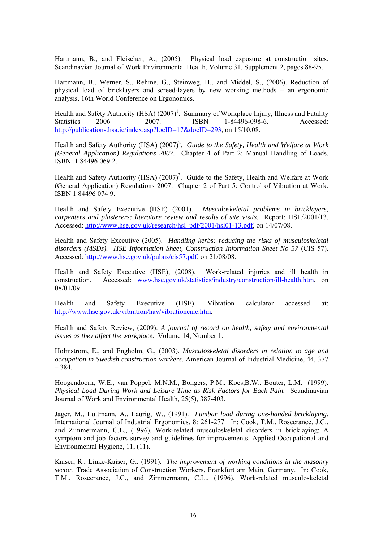Hartmann, B., and Fleischer, A., (2005). Physical load exposure at construction sites. Scandinavian Journal of Work Environmental Health, Volume 31, Supplement 2, pages 88-95.

Hartmann, B., Werner, S., Rehme, G., Steinweg, H., and Middel, S., (2006). Reduction of physical load of bricklayers and screed-layers by new working methods – an ergonomic analysis. 16th World Conference on Ergonomics.

Health and Safety Authority (HSA)  $(2007)^1$ . Summary of Workplace Injury, Illness and Fatality Statistics 2006 – 2007. ISBN 1-84496-098-6. Accessed: [http://publications.hsa.ie/index.asp?locID=17&docID=293,](http://publications.hsa.ie/index.asp?locID=17&docID=293) on 15/10.08.

Health and Safety Authority (HSA) (2007)<sup>2</sup>. *Guide to the Safety, Health and Welfare at Work (General Application) Regulations 2007.* Chapter 4 of Part 2: Manual Handling of Loads. ISBN: 1 84496 069 2.

Health and Safety Authority (HSA)  $(2007)^3$ . Guide to the Safety, Health and Welfare at Work (General Application) Regulations 2007. Chapter 2 of Part 5: Control of Vibration at Work. ISBN 1 84496 074 9.

Health and Safety Executive (HSE) (2001). *Musculoskeletal problems in bricklayers, carpenters and plasterers: literature review and results of site visits.* Report: HSL/2001/13, Accessed: [http://www.hse.gov.uk/research/hsl\\_pdf/2001/hsl01-13.pdf,](http://www.hse.gov.uk/research/hsl_pdf/2001/hsl01-13.pdf) on 14/07/08.

Health and Safety Executive (2005). *Handling kerbs: reducing the risks of musculoskeletal disorders (MSDs). HSE Information Sheet, Construction Information Sheet No 57* (CIS 57). Accessed:<http://www.hse.gov.uk/pubns/cis57.pdf>, on 21/08/08.

Health and Safety Executive (HSE), (2008). Work-related injuries and ill health in construction. Accessed: [www.hse.gov.uk/statistics/industry/construction/ill-health.htm,](http://www.hse.gov.uk/statistics/industry/construction/ill-health.htm) on 08/01/09.

Health and Safety Executive (HSE). Vibration calculator accessed at: [http://www.hse.gov.uk/vibration/hav/vibrationcalc.htm.](http://www.hse.gov.uk/vibration/hav/vibrationcalc.htm)

Health and Safety Review, (2009). *A journal of record on health, safety and environmental issues as they affect the workplace.* Volume 14, Number 1.

Holmstrom, E., and Engholm, G., (2003). *Musculoskeletal disorders in relation to age and occupation in Swedish construction workers*. American Journal of Industrial Medicine, 44, 377  $-384.$ 

Hoogendoorn, W.E., van Poppel, M.N.M., Bongers, P.M., Koes,B.W., Bouter, L.M. (1999). *Physical Load During Work and Leisure Time as Risk Factors for Back Pain.* Scandinavian Journal of Work and Environmental Health, 25(5), 387-403.

Jager, M., Luttmann, A., Laurig, W., (1991). *Lumbar load during one-handed bricklaying.* International Journal of Industrial Ergonomics, 8: 261-277. In: Cook, T.M., Rosecrance, J.C., and Zimmermann, C.L., (1996). Work-related musculoskeletal disorders in bricklaying: A symptom and job factors survey and guidelines for improvements. Applied Occupational and Environmental Hygiene, 11, (11).

Kaiser, R., Linke-Kaiser, G., (1991). *The improvement of working conditions in the masonry sector*. Trade Association of Construction Workers, Frankfurt am Main, Germany. In: Cook, T.M., Rosecrance, J.C., and Zimmermann, C.L., (1996). Work-related musculoskeletal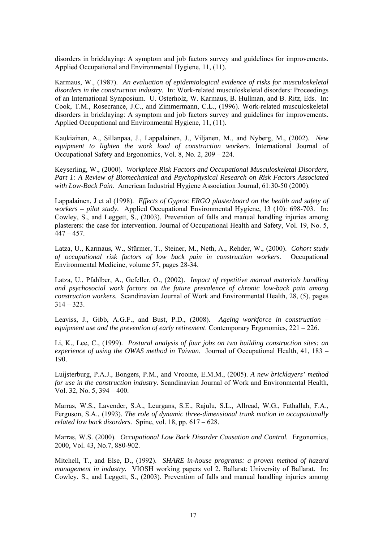disorders in bricklaying: A symptom and job factors survey and guidelines for improvements. Applied Occupational and Environmental Hygiene, 11, (11).

Karmaus, W., (1987). *An evaluation of epidemiological evidence of risks for musculoskeletal disorders in the construction industry.* In: Work-related musculoskeletal disorders: Proceedings of an International Symposium. U. Osterholz, W. Karmaus, B. Hullman, and B. Ritz, Eds. In: Cook, T.M., Rosecrance, J.C., and Zimmermann, C.L., (1996). Work-related musculoskeletal disorders in bricklaying: A symptom and job factors survey and guidelines for improvements. Applied Occupational and Environmental Hygiene, 11, (11).

Kaukiainen, A., Sillanpaa, J., Lappalainen, J., Viljanen, M., and Nyberg, M., (2002). *New equipment to lighten the work load of construction workers.* International Journal of Occupational Safety and Ergonomics, Vol. 8, No. 2, 209 – 224.

Keyserling, W., (2000). *Workplace Risk Factors and Occupational Musculoskeletal Disorders, Part 1: A Review of Biomechanical and Psychophysical Research on Risk Factors Associated with Low-Back Pain.* American Industrial Hygiene Association Journal, 61:30-50 (2000).

Lappalainen, J et al (1998). *Effects of Gyproc ERGO plasterboard on the health and safety of workers – pilot study.* Applied Occupational Environmental Hygiene, 13 (10): 698-703. In: Cowley, S., and Leggett, S., (2003). Prevention of falls and manual handling injuries among plasterers: the case for intervention. Journal of Occupational Health and Safety, Vol. 19, No. 5,  $447 - 457$ .

Latza, U., Karmaus, W., Stürmer, T., Steiner, M., Neth, A., Rehder, W., (2000). *Cohort study of occupational risk factors of low back pain in construction workers.* Occupational Environmental Medicine, volume 57, pages 28-34.

Latza, U., Pfahlber, A., Gefeller, O., (2002). *Impact of repetitive manual materials handling and psychosocial work factors on the future prevalence of chronic low-back pain among construction workers.* Scandinavian Journal of Work and Environmental Health, 28, (5), pages  $314 - 323$ .

Leaviss, J., Gibb, A.G.F., and Bust, P.D., (2008). *Ageing workforce in construction – equipment use and the prevention of early retirement*. Contemporary Ergonomics, 221 – 226.

Li, K., Lee, C., (1999). *Postural analysis of four jobs on two building construction sites: an experience of using the OWAS method in Taiwan*. Journal of Occupational Health, 41, 183 – 190.

Luijsterburg, P.A.J., Bongers, P.M., and Vroome, E.M.M., (2005). *A new bricklayers' method for use in the construction industry*. Scandinavian Journal of Work and Environmental Health, Vol. 32, No. 5, 394 – 400.

Marras, W.S., Lavender, S.A., Leurgans, S.E., Rajulu, S.L., Allread, W.G., Fathallah, F.A., Ferguson, S.A., (1993). *The role of dynamic three-dimensional trunk motion in occupationally related low back disorders.* Spine, vol. 18, pp. 617 – 628.

Marras, W.S. (2000). *Occupational Low Back Disorder Causation and Control.* Ergonomics, 2000, Vol. 43, No.7, 880-902.

Mitchell, T., and Else, D., (1992). *SHARE in-house programs: a proven method of hazard management in industry.* VIOSH working papers vol 2. Ballarat: University of Ballarat. In: Cowley, S., and Leggett, S., (2003). Prevention of falls and manual handling injuries among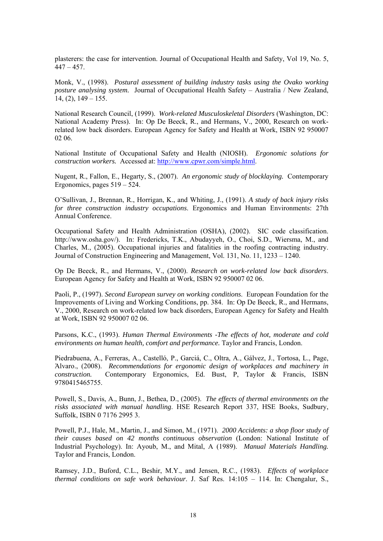plasterers: the case for intervention. Journal of Occupational Health and Safety, Vol 19, No. 5,  $447 - 457$ .

Monk, V., (1998). *Postural assessment of building industry tasks using the Ovako working posture analysing system.* Journal of Occupational Health Safety – Australia / New Zealand,  $14, (2), 149 - 155.$ 

National Research Council, (1999). *Work-related Musculoskeletal Disorders* (Washington, DC: National Academy Press). In: Op De Beeck, R., and Hermans, V., 2000, Research on workrelated low back disorders. European Agency for Safety and Health at Work, ISBN 92 950007 02 06.

National Institute of Occupational Safety and Health (NIOSH). *Ergonomic solutions for construction workers.* Accessed at:<http://www.cpwr.com/simple.html>.

Nugent, R., Fallon, E., Hegarty, S., (2007). *An ergonomic study of blocklaying.* Contemporary Ergonomics, pages 519 – 524.

O'Sullivan, J., Brennan, R., Horrigan, K., and Whiting, J., (1991). *A study of back injury risks for three construction industry occupations*. Ergonomics and Human Environments: 27th Annual Conference.

Occupational Safety and Health Administration (OSHA), (2002). SIC code classification. [http://www.osha.gov/\)](http://www.osha.gov/). In: Fredericks, T.K., Abudayyeh, O., Choi, S.D., Wiersma, M., and Charles, M., (2005). Occupational injuries and fatalities in the roofing contracting industry. Journal of Construction Engineering and Management, Vol. 131, No. 11, 1233 – 1240.

Op De Beeck, R., and Hermans, V., (2000). *Research on work-related low back disorders*. European Agency for Safety and Health at Work, ISBN 92 950007 02 06.

Paoli, P., (1997). *Second European survey on working conditions*. European Foundation for the Improvements of Living and Working Conditions, pp. 384. In: Op De Beeck, R., and Hermans, V., 2000, Research on work-related low back disorders, European Agency for Safety and Health at Work, ISBN 92 950007 02 06.

Parsons, K.C., (1993). *Human Thermal Environments -The effects of hot, moderate and cold environments on human health, comfort and performance.* Taylor and Francis, London.

Piedrabuena, A., Ferreras, A., Castelló, P., Garciá, C., Oltra, A., Gálvez, J., Tortosa, L., Page, Άlvaro., (2008). *Recommendations for ergonomic design of workplaces and machinery in construction.* Contemporary Ergonomics, Ed. Bust, P, Taylor & Francis, ISBN 9780415465755.

Powell, S., Davis, A., Bunn, J., Bethea, D., (2005). *The effects of thermal environments on the risks associated with manual handling*. HSE Research Report 337, HSE Books, Sudbury, Suffolk, ISBN 0 7176 2995 3.

Powell, P.J., Hale, M., Martin, J., and Simon, M., (1971). *2000 Accidents: a shop floor study of their causes based on 42 months continuous observation* (London: National Institute of Industrial Psychology). In: Ayoub, M., and Mital, A (1989). *Manual Materials Handling.* Taylor and Francis, London.

Ramsey, J.D., Buford, C.L., Beshir, M.Y., and Jensen, R.C., (1983). *Effects of workplace thermal conditions on safe work behaviour*. J. Saf Res. 14:105 – 114. In: Chengalur, S.,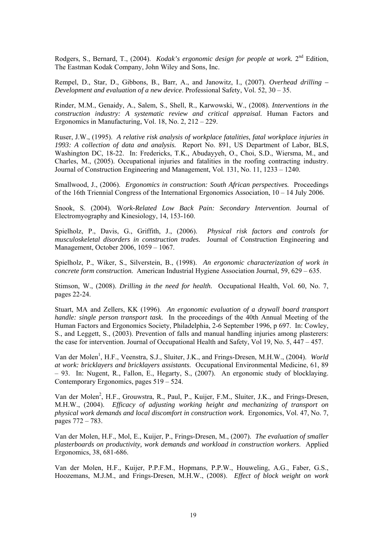Rodgers, S., Bernard, T., (2004). *Kodak's ergonomic design for people at work.* 2nd Edition, The Eastman Kodak Company, John Wiley and Sons, Inc.

Rempel, D., Star, D., Gibbons, B., Barr, A., and Janowitz, I., (2007). *Overhead drilling – Development and evaluation of a new device*. Professional Safety, Vol. 52, 30 – 35.

Rinder, M.M., Genaidy, A., Salem, S., Shell, R., Karwowski, W., (2008). *Interventions in the construction industry: A systematic review and critical appraisal.* Human Factors and Ergonomics in Manufacturing, Vol. 18, No. 2, 212 – 229.

Ruser, J.W., (1995). *A relative risk analysis of workplace fatalities, fatal workplace injuries in 1993: A collection of data and analysis.* Report No. 891, US Department of Labor, BLS, Washington DC, 18-22. In: Fredericks, T.K., Abudayyeh, O., Choi, S.D., Wiersma, M., and Charles, M., (2005). Occupational injuries and fatalities in the roofing contracting industry. Journal of Construction Engineering and Management, Vol. 131, No. 11, 1233 – 1240.

Smallwood, J., (2006). *Ergonomics in construction: South African perspectives.* Proceedings of the 16th Triennial Congress of the International Ergonomics Association, 10 – 14 July 2006.

Snook, S. (2004). W*ork-Related Low Back Pain: Secondary Intervention*. Journal of Electromyography and Kinesiology, 14, 153-160.

Spielholz, P., Davis, G., Griffith, J., (2006). *Physical risk factors and controls for musculoskeletal disorders in construction trades.* Journal of Construction Engineering and Management, October 2006, 1059 – 1067.

Spielholz, P., Wiker, S., Silverstein, B., (1998). *An ergonomic characterization of work in concrete form construction.* American Industrial Hygiene Association Journal, 59, 629 – 635.

Stimson, W., (2008). *Drilling in the need for health.* Occupational Health, Vol. 60, No. 7, pages 22-24.

Stuart, MA and Zellers, KK (1996). *An ergonomic evaluation of a drywall board transport handle: single person transport task.* In the proceedings of the 40th Annual Meeting of the Human Factors and Ergonomics Society, Philadelphia, 2-6 September 1996, p 697. In: Cowley, S., and Leggett, S., (2003). Prevention of falls and manual handling injuries among plasterers: the case for intervention. Journal of Occupational Health and Safety, Vol 19, No. 5, 447 – 457.

Van der Molen<sup>1</sup>, H.F., Veenstra, S.J., Sluiter, J.K., and Frings-Dresen, M.H.W., (2004). *World at work: bricklayers and bricklayers assistants.* Occupational Environmental Medicine, 61, 89 – 93. In: Nugent, R., Fallon, E., Hegarty, S., (2007). An ergonomic study of blocklaying. Contemporary Ergonomics, pages 519 – 524.

Van der Molen<sup>2</sup>, H.F., Grouwstra, R., Paul, P., Kuijer, F.M., Sluiter, J.K., and Frings-Dresen, M.H.W., (2004). *Efficacy of adjusting working height and mechanizing of transport on physical work demands and local discomfort in construction work.* Ergonomics, Vol. 47, No. 7, pages 772 – 783.

Van der Molen, H.F., Mol, E., Kuijer, P., Frings-Dresen, M., (2007). *The evaluation of smaller plasterboards on productivity, work demands and workload in construction workers*. Applied Ergonomics, 38, 681-686.

Van der Molen, H.F., Kuijer, P.P.F.M., Hopmans, P.P.W., Houweling, A.G., Faber, G.S., Hoozemans, M.J.M., and Frings-Dresen, M.H.W., (2008). *Effect of block weight on work*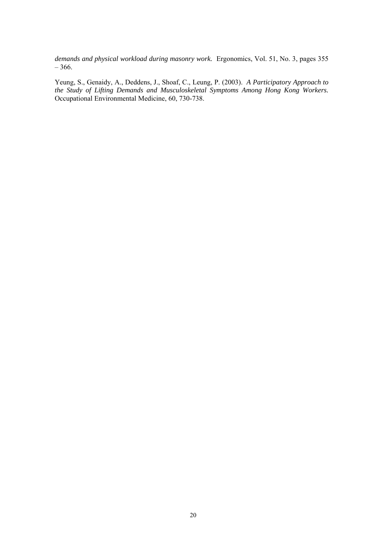*demands and physical workload during masonry work.* Ergonomics, Vol. 51, No. 3, pages 355 – 366.

Yeung, S., Genaidy, A., Deddens, J., Shoaf, C., Leung, P. (2003). *A Participatory Approach to the Study of Lifting Demands and Musculoskeletal Symptoms Among Hong Kong Workers.* Occupational Environmental Medicine, 60, 730-738.